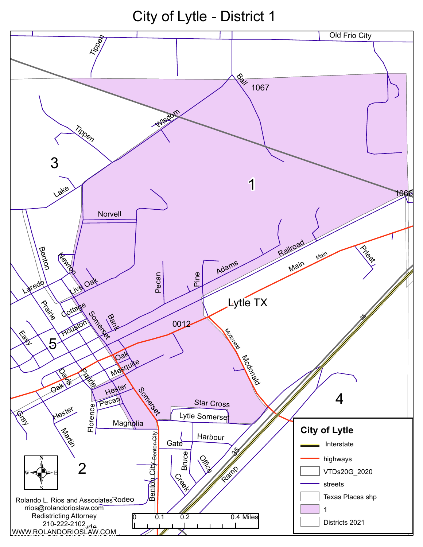City of Lytle - District 1

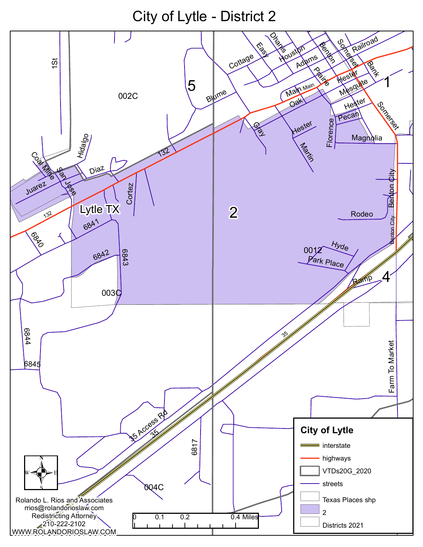City of Lytle - District 2

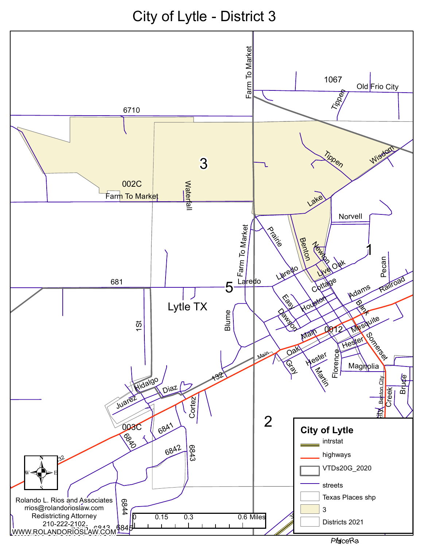City of Lytle - District 3

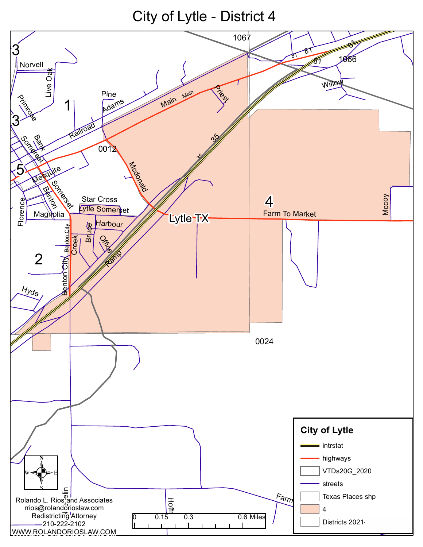City of Lytle - District 4